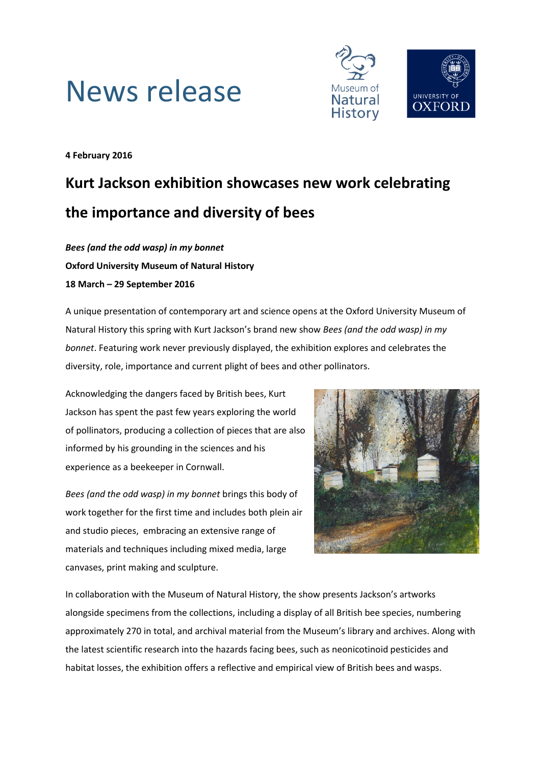



**4 February 2016**

# **Kurt Jackson exhibition showcases new work celebrating the importance and diversity of bees**

*Bees (and the odd wasp) in my bonnet* **Oxford University Museum of Natural History 18 March – 29 September 2016**

A unique presentation of contemporary art and science opens at the Oxford University Museum of Natural History this spring with Kurt Jackson's brand new show *Bees (and the odd wasp) in my bonnet*. Featuring work never previously displayed, the exhibition explores and celebrates the diversity, role, importance and current plight of bees and other pollinators.

Acknowledging the dangers faced by British bees, Kurt Jackson has spent the past few years exploring the world of pollinators, producing a collection of pieces that are also informed by his grounding in the sciences and his experience as a beekeeper in Cornwall.

*Bees (and the odd wasp) in my bonnet* brings this body of work together for the first time and includes both plein air and studio pieces, embracing an extensive range of materials and techniques including mixed media, large canvases, print making and sculpture.



In collaboration with the Museum of Natural History, the show presents Jackson's artworks alongside specimens from the collections, including a display of all British bee species, numbering approximately 270 in total, and archival material from the Museum's library and archives. Along with the latest scientific research into the hazards facing bees, such as neonicotinoid pesticides and habitat losses, the exhibition offers a reflective and empirical view of British bees and wasps.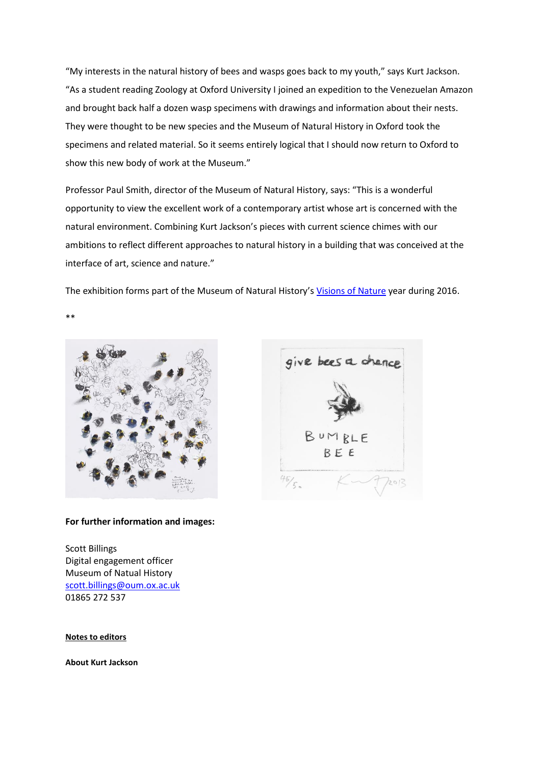"My interests in the natural history of bees and wasps goes back to my youth," says Kurt Jackson. "As a student reading Zoology at Oxford University I joined an expedition to the Venezuelan Amazon and brought back half a dozen wasp specimens with drawings and information about their nests. They were thought to be new species and the Museum of Natural History in Oxford took the specimens and related material. So it seems entirely logical that I should now return to Oxford to show this new body of work at the Museum."

Professor Paul Smith, director of the Museum of Natural History, says: "This is a wonderful opportunity to view the excellent work of a contemporary artist whose art is concerned with the natural environment. Combining Kurt Jackson's pieces with current science chimes with our ambitions to reflect different approaches to natural history in a building that was conceived at the interface of art, science and nature."

The exhibition forms part of the Museum of Natural History's [Visions of Nature](http://www.visionsofnature.net/) year during 2016.

\*\*



## **For further information and images:**

Scott Billings Digital engagement officer Museum of Natual History [scott.billings@oum.ox.ac.uk](mailto:scott.billings@oum.ox.ac.uk) 01865 272 537

### **Notes to editors**

**About Kurt Jackson**